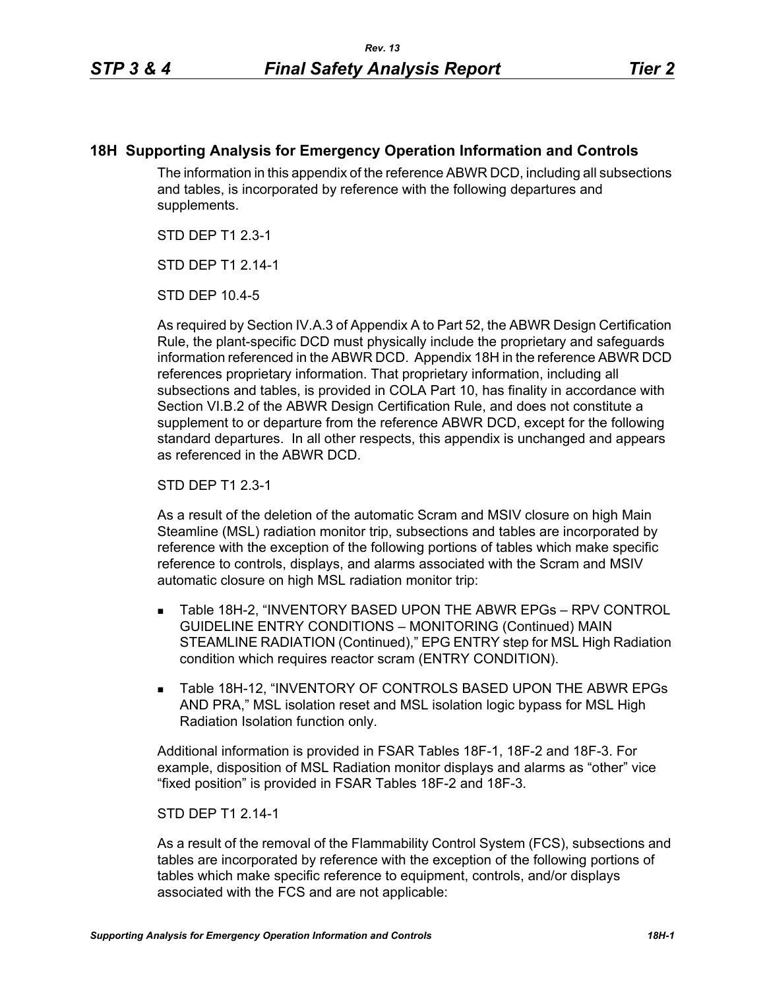## **18H Supporting Analysis for Emergency Operation Information and Controls**

The information in this appendix of the reference ABWR DCD, including all subsections and tables, is incorporated by reference with the following departures and supplements.

STD DEP T1 2.3-1

STD DFP T1 2 14-1

STD DEP 10.4-5

As required by Section IV.A.3 of Appendix A to Part 52, the ABWR Design Certification Rule, the plant-specific DCD must physically include the proprietary and safeguards information referenced in the ABWR DCD. Appendix 18H in the reference ABWR DCD references proprietary information. That proprietary information, including all subsections and tables, is provided in COLA Part 10, has finality in accordance with Section VI.B.2 of the ABWR Design Certification Rule, and does not constitute a supplement to or departure from the reference ABWR DCD, except for the following standard departures. In all other respects, this appendix is unchanged and appears as referenced in the ABWR DCD.

STD DEP T1 2.3-1

As a result of the deletion of the automatic Scram and MSIV closure on high Main Steamline (MSL) radiation monitor trip, subsections and tables are incorporated by reference with the exception of the following portions of tables which make specific reference to controls, displays, and alarms associated with the Scram and MSIV automatic closure on high MSL radiation monitor trip:

- Table 18H-2, "INVENTORY BASED UPON THE ABWR EPGs RPV CONTROL GUIDELINE ENTRY CONDITIONS – MONITORING (Continued) MAIN STEAMLINE RADIATION (Continued)," EPG ENTRY step for MSL High Radiation condition which requires reactor scram (ENTRY CONDITION).
- **Table 18H-12, "INVENTORY OF CONTROLS BASED UPON THE ABWR EPGs** AND PRA," MSL isolation reset and MSL isolation logic bypass for MSL High Radiation Isolation function only.

Additional information is provided in FSAR Tables 18F-1, 18F-2 and 18F-3. For example, disposition of MSL Radiation monitor displays and alarms as "other" vice "fixed position" is provided in FSAR Tables 18F-2 and 18F-3.

## STD DEP T1 2.14-1

As a result of the removal of the Flammability Control System (FCS), subsections and tables are incorporated by reference with the exception of the following portions of tables which make specific reference to equipment, controls, and/or displays associated with the FCS and are not applicable: